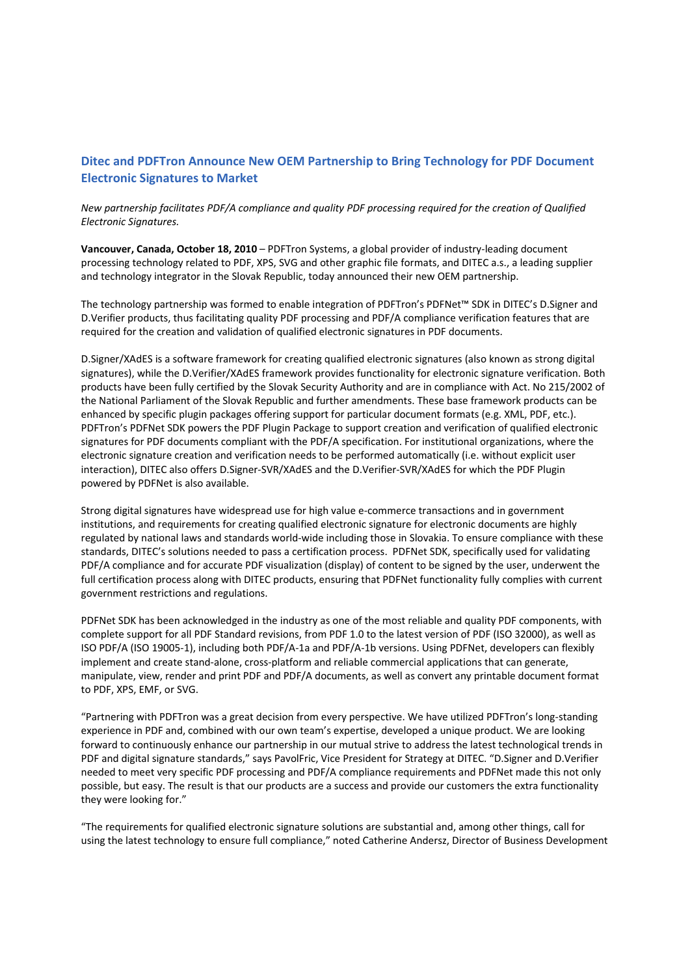# **Ditec and PDFTron Announce New OEM Partnership to Bring Technology for PDF Document Electronic Signatures to Market**

*New partnership facilitates PDF/A compliance and quality PDF processing required for the creation of Qualified Electronic Signatures.*

**Vancouver, Canada, October 18, 2010** – PDFTron Systems, a global provider of industry‐leading document processing technology related to PDF, XPS, SVG and other graphic file formats, and DITEC a.s., a leading supplier and technology integrator in the Slovak Republic, today announced their new OEM partnership.

The technology partnership was formed to enable integration of PDFTron's PDFNet™ SDK in DITEC's D.Signer and D.Verifier products, thus facilitating quality PDF processing and PDF/A compliance verification features that are required for the creation and validation of qualified electronic signatures in PDF documents.

D.Signer/XAdES is a software framework for creating qualified electronic signatures (also known as strong digital signatures), while the D.Verifier/XAdES framework provides functionality for electronic signature verification. Both products have been fully certified by the Slovak Security Authority and are in compliance with Act. No 215/2002 of the National Parliament of the Slovak Republic and further amendments. These base framework products can be enhanced by specific plugin packages offering support for particular document formats (e.g. XML, PDF, etc.). PDFTron's PDFNet SDK powers the PDF Plugin Package to support creation and verification of qualified electronic signatures for PDF documents compliant with the PDF/A specification. For institutional organizations, where the electronic signature creation and verification needs to be performed automatically (i.e. without explicit user interaction), DITEC also offers D.Signer‐SVR/XAdES and the D.Verifier‐SVR/XAdES for which the PDF Plugin powered by PDFNet is also available.

Strong digital signatures have widespread use for high value e-commerce transactions and in government institutions, and requirements for creating qualified electronic signature for electronic documents are highly regulated by national laws and standards world‐wide including those in Slovakia. To ensure compliance with these standards, DITEC's solutions needed to pass a certification process. PDFNet SDK, specifically used for validating PDF/A compliance and for accurate PDF visualization (display) of content to be signed by the user, underwent the full certification process along with DITEC products, ensuring that PDFNet functionality fully complies with current government restrictions and regulations.

PDFNet SDK has been acknowledged in the industry as one of the most reliable and quality PDF components, with complete support for all PDF Standard revisions, from PDF 1.0 to the latest version of PDF (ISO 32000), as well as ISO PDF/A (ISO 19005‐1), including both PDF/A‐1a and PDF/A‐1b versions. Using PDFNet, developers can flexibly implement and create stand-alone, cross-platform and reliable commercial applications that can generate, manipulate, view, render and print PDF and PDF/A documents, as well as convert any printable document format to PDF, XPS, EMF, or SVG.

"Partnering with PDFTron was a great decision from every perspective. We have utilized PDFTron's long‐standing experience in PDF and, combined with our own team's expertise, developed a unique product. We are looking forward to continuously enhance our partnership in our mutual strive to address the latest technological trends in PDF and digital signature standards," says PavolFric, Vice President for Strategy at DITEC. "D.Signer and D.Verifier needed to meet very specific PDF processing and PDF/A compliance requirements and PDFNet made this not only possible, but easy. The result is that our products are a success and provide our customers the extra functionality they were looking for."

"The requirements for qualified electronic signature solutions are substantial and, among other things, call for using the latest technology to ensure full compliance," noted Catherine Andersz, Director of Business Development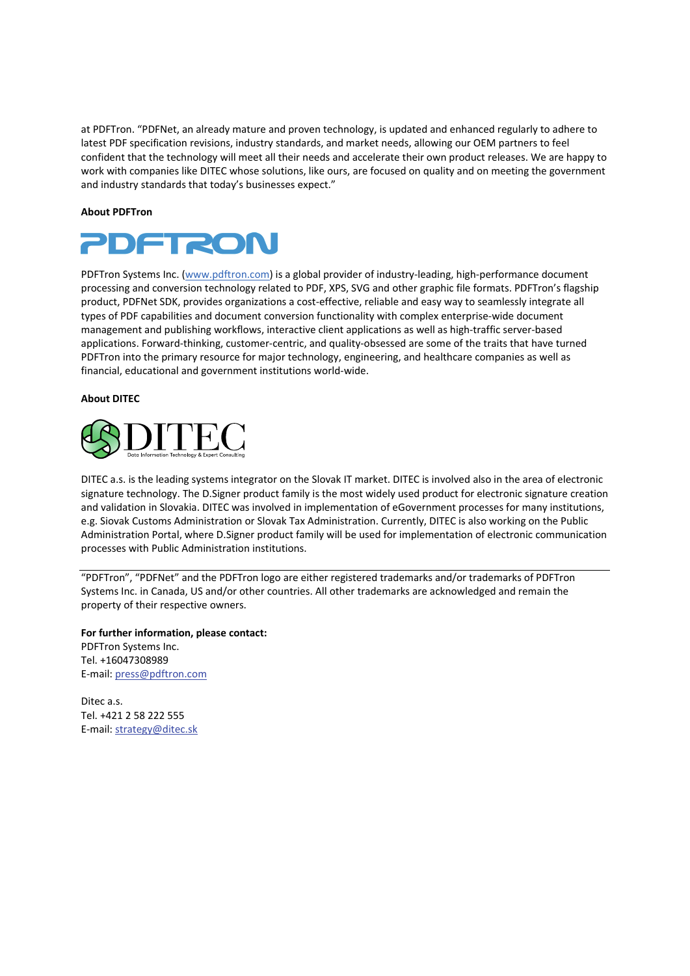at PDFTron. "PDFNet, an already mature and proven technology, is updated and enhanced regularly to adhere to latest PDF specification revisions, industry standards, and market needs, allowing our OEM partners to feel confident that the technology will meet all their needs and accelerate their own product releases. We are happy to work with companies like DITEC whose solutions, like ours, are focused on quality and on meeting the government and industry standards that today's businesses expect."

### **About PDFTron**



PDFTron Systems Inc. (www.pdftron.com) is a global provider of industry-leading, high-performance document processing and conversion technology related to PDF, XPS, SVG and other graphic file formats. PDFTron's flagship product, PDFNet SDK, provides organizations a cost‐effective, reliable and easy way to seamlessly integrate all types of PDF capabilities and document conversion functionality with complex enterprise‐wide document management and publishing workflows, interactive client applications as well as high‐traffic server‐based applications. Forward‐thinking, customer‐centric, and quality‐obsessed are some of the traits that have turned PDFTron into the primary resource for major technology, engineering, and healthcare companies as well as financial, educational and government institutions world‐wide.

### **About DITEC**



DITEC a.s. is the leading systems integrator on the Slovak IT market. DITEC is involved also in the area of electronic signature technology. The D.Signer product family is the most widely used product for electronic signature creation and validation in Slovakia. DITEC was involved in implementation of eGovernment processes for many institutions, e.g. Siovak Customs Administration or Slovak Tax Administration. Currently, DITEC is also working on the Public Administration Portal, where D.Signer product family will be used for implementation of electronic communication processes with Public Administration institutions.

"PDFTron", "PDFNet" and the PDFTron logo are either registered trademarks and/or trademarks of PDFTron Systems Inc. in Canada, US and/or other countries. All other trademarks are acknowledged and remain the property of their respective owners.

**For further information, please contact:**  PDFTron Systems Inc. Tel. +16047308989 E‐mail: press@pdftron.com

Ditec a.s. Tel. +421 2 58 222 555 E‐mail: strategy@ditec.sk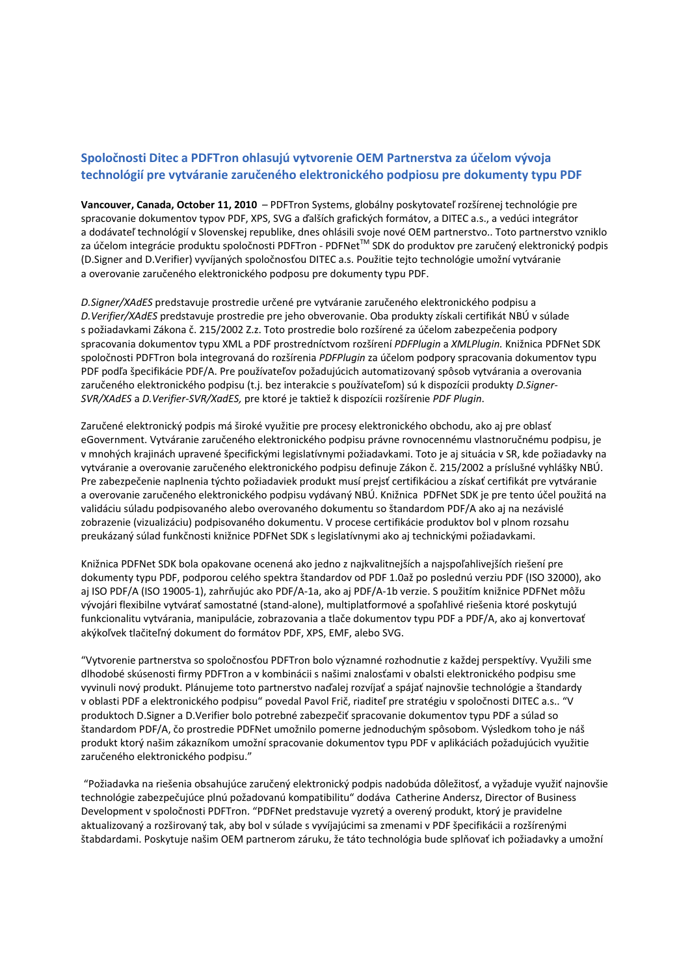# **Spoločnosti Ditec a PDFTron ohlasujú vytvorenie OEM Partnerstva za účelom vývoja technológií pre vytváranie zaručeného elektronického podpiosu pre dokumenty typu PDF**

**Vancouver, Canada, October 11, 2010** – PDFTron Systems, globálny poskytovateľ rozšírenej technológie pre spracovanie dokumentov typov PDF, XPS, SVG a ďalších grafických formátov, a DITEC a.s., a vedúci integrátor a dodávateľ technológií v Slovenskej republike, dnes ohlásili svoje nové OEM partnerstvo.. Toto partnerstvo vzniklo za účelom integrácie produktu spoločnosti PDFTron - PDFNet™ SDK do produktov pre zaručený elektronický podpis (D.Signer and D.Verifier) vyvíjaných spoločnosťou DITEC a.s. Použitie tejto technológie umožní vytváranie a overovanie zaručeného elektronického podposu pre dokumenty typu PDF.

*D.Signer/XAdES* predstavuje prostredie určené pre vytváranie zaručeného elektronického podpisu a *D.Verifier/XAdES* predstavuje prostredie pre jeho obverovanie. Oba produkty získali certifikát NBÚ v súlade s požiadavkami Zákona č. 215/2002 Z.z. Toto prostredie bolo rozšírené za účelom zabezpečenia podpory spracovania dokumentov typu XML a PDF prostredníctvom rozšírení *PDFPlugin* a *XMLPlugin.* Knižnica PDFNet SDK spoločnosti PDFTron bola integrovaná do rozšírenia *PDFPlugin* za účelom podpory spracovania dokumentov typu PDF podľa špecifikácie PDF/A. Pre používateľov požadujúcich automatizovaný spôsob vytvárania a overovania zaručeného elektronického podpisu (t.j. bez interakcie s používateľom) sú k dispozícii produkty *D.Signer‐ SVR/XAdES* a *D.Verifier‐SVR/XadES,* pre ktoré je taktiež k dispozícii rozšírenie *PDF Plugin*.

Zaručené elektronický podpis má široké využitie pre procesy elektronického obchodu, ako aj pre oblasť eGovernment. Vytváranie zaručeného elektronického podpisu právne rovnocennému vlastnoručnému podpisu, je v mnohých krajinách upravené špecifickými legislatívnymi požiadavkami. Toto je aj situácia v SR, kde požiadavky na vytváranie a overovanie zaručeného elektronického podpisu definuje Zákon č. 215/2002 a príslušné vyhlášky NBÚ. Pre zabezpečenie naplnenia týchto požiadaviek produkt musí prejsť certifikáciou a získať certifikát pre vytváranie a overovanie zaručeného elektronického podpisu vydávaný NBÚ. Knižnica PDFNet SDK je pre tento účel použitá na validáciu súladu podpisovaného alebo overovaného dokumentu so štandardom PDF/A ako aj na nezávislé zobrazenie (vizualizáciu) podpisovaného dokumentu. V procese certifikácie produktov bol v plnom rozsahu preukázaný súlad funkčnosti knižnice PDFNet SDK s legislatívnymi ako aj technickými požiadavkami.

Knižnica PDFNet SDK bola opakovane ocenená ako jedno z najkvalitnejších a najspoľahlivejších riešení pre dokumenty typu PDF, podporou celého spektra štandardov od PDF 1.0až po poslednú verziu PDF (ISO 32000), ako aj ISO PDF/A (ISO 19005‐1), zahrňujúc ako PDF/A‐1a, ako aj PDF/A‐1b verzie. S použitím knižnice PDFNet môžu vývojári flexibilne vytvárať samostatné (stand‐alone), multiplatformové a spoľahlivé riešenia ktoré poskytujú funkcionalitu vytvárania, manipulácie, zobrazovania a tlače dokumentov typu PDF a PDF/A, ako aj konvertovať akýkoľvek tlačiteľný dokument do formátov PDF, XPS, EMF, alebo SVG.

"Vytvorenie partnerstva so spoločnosťou PDFTron bolo významné rozhodnutie z každej perspektívy. Využili sme dlhodobé skúsenosti firmy PDFTron a v kombinácii s našimi znalosťami v obalsti elektronického podpisu sme vyvinuli nový produkt. Plánujeme toto partnerstvo naďalej rozvíjať a spájať najnovšie technológie a štandardy v oblasti PDF a elektronického podpisu" povedal Pavol Frič, riaditeľ pre stratégiu v spoločnosti DITEC a.s.. "V produktoch D.Signer a D.Verifier bolo potrebné zabezpečiť spracovanie dokumentov typu PDF a súlad so štandardom PDF/A, čo prostredie PDFNet umožnilo pomerne jednoduchým spôsobom. Výsledkom toho je náš produkt ktorý našim zákazníkom umožní spracovanie dokumentov typu PDF v aplikáciách požadujúcich využitie zaručeného elektronického podpisu."

"Požiadavka na riešenia obsahujúce zaručený elektronický podpis nadobúda dôležitosť, a vyžaduje využiť najnovšie technológie zabezpečujúce plnú požadovanú kompatibilitu" dodáva Catherine Andersz, Director of Business Development v spoločnosti PDFTron. "PDFNet predstavuje vyzretý a overený produkt, ktorý je pravidelne aktualizovaný a rozširovaný tak, aby bol v súlade s vyvíjajúcimi sa zmenami v PDF špecifikácii a rozšírenými štabdardami. Poskytuje našim OEM partnerom záruku, že táto technológia bude splňovať ich požiadavky a umožní